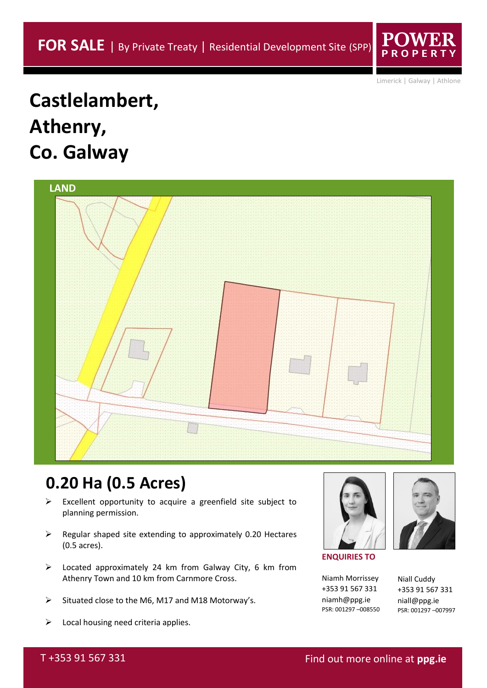Limerick | Galway | Athlone

# **Castlelambert, Athenry, Co. Galway**

| <b>LAND</b> |  |
|-------------|--|
|             |  |
|             |  |
|             |  |

# **0.20 Ha (0.5 Acres)**

- $\triangleright$  Excellent opportunity to acquire a greenfield site subject to planning permission.
- $\triangleright$  Regular shaped site extending to approximately 0.20 Hectares (0.5 acres).
- ➢ Located approximately 24 km from Galway City, 6 km from Athenry Town and 10 km from Carnmore Cross.
- ➢ Situated close to the M6, M17 and M18 Motorway's.
- $\triangleright$  Local housing need criteria applies.



**ENQUIRIES TO**

Niamh Morrissey +353 91 567 331 niamh@ppg.ie PSR: 001297 –008550

Niall Cuddy +353 91 567 331 niall@ppg.ie PSR: 001297 –007997